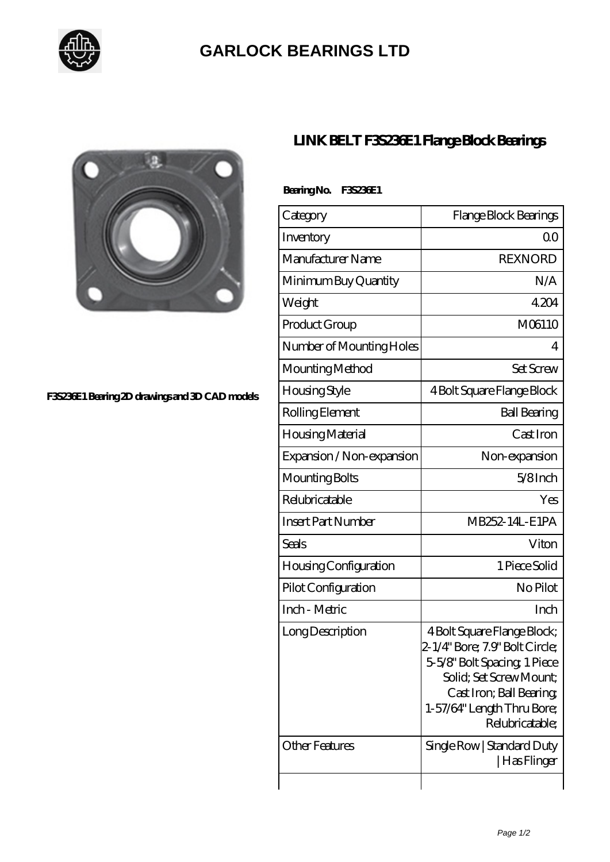

## **[GARLOCK BEARINGS LTD](https://m.letterstopriests.com)**



## **[F3S236E1 Bearing 2D drawings and 3D CAD models](https://m.letterstopriests.com/pic-188719.html)**

## **[LINK BELT F3S236E1 Flange Block Bearings](https://m.letterstopriests.com/at-188719-link-belt-f3s236e1-flange-block-bearings.html)**

| BearingNo. | F35233E1 |
|------------|----------|
|------------|----------|

| Category                     | Flange Block Bearings                                                                                                                                                                                |
|------------------------------|------------------------------------------------------------------------------------------------------------------------------------------------------------------------------------------------------|
| Inventory                    | 0 <sup>0</sup>                                                                                                                                                                                       |
| Manufacturer Name            | <b>REXNORD</b>                                                                                                                                                                                       |
| Minimum Buy Quantity         | N/A                                                                                                                                                                                                  |
| Weight                       | 4204                                                                                                                                                                                                 |
| Product Group                | M06110                                                                                                                                                                                               |
| Number of Mounting Holes     | 4                                                                                                                                                                                                    |
| Mounting Method              | <b>Set Screw</b>                                                                                                                                                                                     |
| <b>Housing Style</b>         | 4 Bolt Square Flange Block                                                                                                                                                                           |
| Rolling Element              | <b>Ball Bearing</b>                                                                                                                                                                                  |
| Housing Material             | Cast Iron                                                                                                                                                                                            |
| Expansion / Non-expansion    | Non-expansion                                                                                                                                                                                        |
| Mounting Bolts               | $5/8$ Inch                                                                                                                                                                                           |
| Relubricatable               | Yes                                                                                                                                                                                                  |
| <b>Insert Part Number</b>    | MB252-14L-E1PA                                                                                                                                                                                       |
| Seals                        | Viton                                                                                                                                                                                                |
| <b>Housing Configuration</b> | 1 Piece Solid                                                                                                                                                                                        |
| Pilot Configuration          | No Pilot                                                                                                                                                                                             |
| Inch - Metric                | Inch                                                                                                                                                                                                 |
| Long Description             | 4 Bolt Square Flange Block;<br>2-1/4" Bore; 7.9" Bolt Circle;<br>5-5/8" Bolt Spacing 1 Piece<br>Solid; Set Screw Mount;<br>Cast Iron; Ball Bearing;<br>1-57/64" Length Thru Bore;<br>Relubricatable; |
| <b>Other Features</b>        | Single Row   Standard Duty<br> Has Flinger                                                                                                                                                           |
|                              |                                                                                                                                                                                                      |